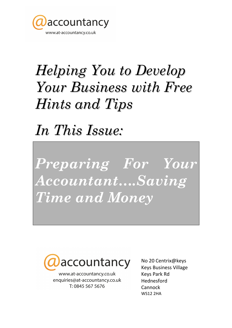

## **Helping You to Develop Your Business with Free** Hints and Tips

In This Issue:

Preparing For Your Accountant....Saving Time and Money



www.at-accountancy.co.uk enquiries@at-accountancy.co.uk T: 0845 567 5676

No 20 Centrix@keys **Keys Business Village Keys Park Rd** Hednesford Cannock **WS12 2HA**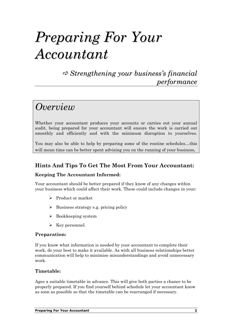## Preparing For Your Accountant

 $\Rightarrow$  Strengthening your business's financial performance

### **Overview**

Whether your accountant produces your accounts or carries out your annual audit, being prepared for your accountant will ensure the work is carried out smoothly and efficiently and with the minimum disruption to yourselves.

You may also be able to help by preparing some of the routine schedules…this will mean time can be better spent advising you on the running of your business.

#### Hints And Tips To Get The Most From Your Accountant:

#### Keeping The Accountant Informed:

Your accountant should be better prepared if they know of any changes within your business which could affect their work. These could include changes in your:

- > Product or market
- > Business strategy e.g. pricing policy
- > Bookkeeping system
- > Key personnel.

#### Preparation:

If you know what information is needed by your accountant to complete their work, do your best to make it available. As with all business relationships better communication will help to minimise misunderstandings and avoid unnecessary work.

#### Timetable:

Agee a suitable timetable in advance. This will give both parties a chance to be properly prepared. If you find yourself behind schedule let your accountant know as soon as possible so that the timetable can be rearranged if necessary.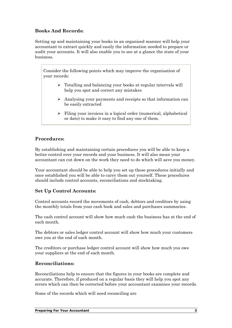#### Books And Records:

Setting up and maintaining your books in an organised manner will help your accountant to extract quickly and easily the information needed to prepare or audit your accounts. It will also enable you to see at a glance the state of your business.

Consider the following points which may improve the organisation of your records:

- > Totalling and balancing your books at regular intervals will help you spot and correct any mistakes
- > Analysing your payments and receipts so that information can be easily extracted
- Filing your invoices in a logical order (numerical, alphabetical or date) to make it easy to find any one of them.

#### Procedures:

By establishing and maintaining certain procedures you will be able to keep a better control over your records and your business. It will also mean your accountant can cut down on the work they need to do which will save you money.

Your accountant should be able to help you set up these procedures initially and once established you will be able to carry them out yourself. These procedures should include control accounts, reconciliations and stocktaking.

#### Set Up Control Accounts:

Control accounts record the movements of cash, debtors and creditors by using the monthly totals from your cash book and sales and purchases summaries.

The cash control account will show how much cash the business has at the end of each month.

The debtors or sales ledger control account will show how much your customers owe you at the end of each month.

The creditors or purchase ledger control account will show how much you owe your suppliers at the end of each month.

#### Reconciliations:

Reconciliations help to ensure that the figures in your books are complete and accurate. Therefore, if produced on a regular basis they will help you spot any errors which can then be corrected before your accountant examines your records.

Some of the records which will need reconciling are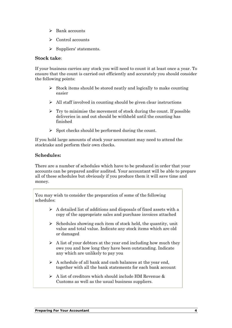- > Bank accounts
- $\triangleright$  Control accounts
- > Suppliers' statements.

#### Stock take:

If your business carries any stock you will need to count it at least once a year. To ensure that the count is carried out efficiently and accurately you should consider the following points:

- > Stock items should be stored neatly and logically to make counting easier
- > All staff involved in counting should be given clear instructions
- > Try to minimise the movement of stock during the count. If possible deliveries in and out should be withheld until the counting has finished
- Spot checks should be performed during the count.

If you hold large amounts of stock your accountant may need to attend the stocktake and perform their own checks.

#### Schedules:

There are a number of schedules which have to be produced in order that your accounts can be prepared and/or audited. Your accountant will be able to prepare all of these schedules but obviously if you produce them it will save time and money.

You may wish to consider the preparation of some of the following schedules:

- > A detailed list of additions and disposals of fixed assets with a copy of the appropriate sales and purchase invoices attached
- Schedules showing each item of stock held, the quantity, unit value and total value. Indicate any stock items which are old or damaged
- $\triangleright$  A list of your debtors at the year end including how much they owe you and how long they have been outstanding. Indicate any which are unlikely to pay you
- $\triangleright$  A schedule of all bank and cash balances at the year end, together with all the bank statements for each bank account
- $\triangleright$  A list of creditors which should include HM Revenue & Customs as well as the usual business suppliers.